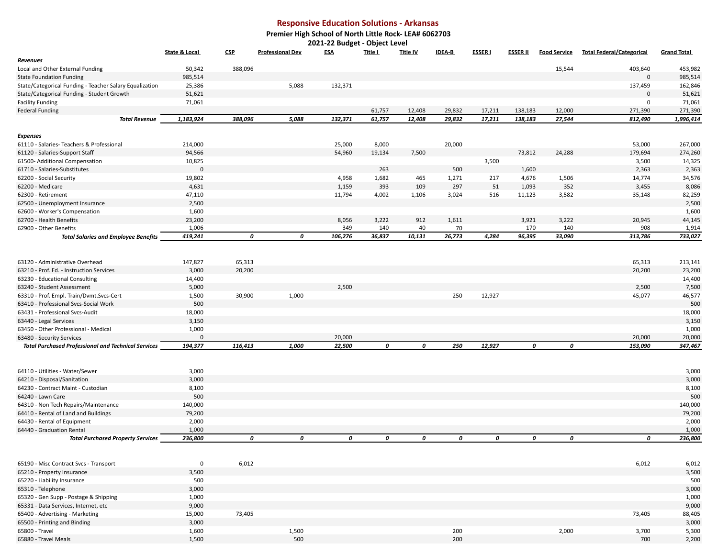## **Responsive Education Solutions - Arkansas**

## **Premier High School of North Little Rock- LEA# 6062703 2021-22 Budget - Object Level**

| Title I<br>State & Local<br><b>CSP</b><br><b>Professional Dev</b><br><b>ESA</b><br><b>Title IV</b><br><b>IDEA-B</b><br><b>ESSERI</b><br><b>ESSER II</b><br><b>Food Service</b><br><b>Total Federal/Categorical</b><br><b>Grand Total</b><br>Revenues<br>388,096<br>15,544<br>Local and Other External Funding<br>50,342<br>403,640<br>453,982<br>985,514<br>985,514<br><b>State Foundation Funding</b><br>$\Omega$<br>5,088<br>132,371<br>State/Categorical Funding - Teacher Salary Equalization<br>25,386<br>137,459<br>162,846<br>51,621<br>State/Categorical Funding - Student Growth<br>51,621<br>71,061<br>71,061<br><b>Facility Funding</b><br>0<br>271,390<br><b>Federal Funding</b><br>61,757<br>12,408<br>29,832<br>17,211<br>138,183<br>12,000<br>271,390<br>132,371<br>17,211<br>1,183,924<br>388,096<br>5,088<br>61,757<br>12,408<br>29,832<br>138,183<br>27,544<br>812,490<br>1,996,414<br><b>Total Revenue</b><br><b>Expenses</b><br>20,000<br>61110 - Salaries- Teachers & Professional<br>214,000<br>25,000<br>8,000<br>53,000<br>267,000<br>94,566<br>54,960<br>19,134<br>7,500<br>73,812<br>24,288<br>179,694<br>274,260<br>61120 - Salaries-Support Staff<br>10,825<br>3,500<br>14,325<br>61500- Additional Compensation<br>3,500<br>$\mathbf 0$<br>263<br>500<br>1,600<br>2,363<br>61710 - Salaries-Substitutes<br>2,363<br>62200 - Social Security<br>19,802<br>4,958<br>1,682<br>465<br>1,271<br>217<br>4,676<br>1,506<br>14,774<br>34,576<br>4,631<br>1,159<br>393<br>109<br>297<br>51<br>1,093<br>352<br>3,455<br>8,086<br>62200 - Medicare<br>47,110<br>11,794<br>4,002<br>1,106<br>3,024<br>516<br>11,123<br>3,582<br>82,259<br>62300 - Retirement<br>35,148<br>2,500<br>2,500<br>62500 - Unemployment Insurance<br>1,600<br>1,600<br>62600 - Worker's Compensation<br>44,145<br>62700 - Health Benefits<br>23,200<br>8,056<br>3,222<br>912<br>1,611<br>3,921<br>3,222<br>20,945<br>1,006<br>349<br>140<br>40<br>70<br>170<br>140<br>908<br>1,914<br>62900 - Other Benefits<br>419,241<br>0<br>0<br>106,276<br>36,837<br>10,131<br>26,773<br>4,284<br>96,395<br>33,090<br>313,786<br>733,027<br><b>Total Salaries and Employee Benefits</b><br>147,827<br>63120 - Administrative Overhead<br>65,313<br>65,313<br>213,141<br>3,000<br>20,200<br>23,200<br>63210 - Prof. Ed. - Instruction Services<br>20,200<br>63230 - Educational Consulting<br>14,400<br>14,400<br>2,500<br>5,000<br>2,500<br>7,500<br>63240 - Student Assessment<br>1,500<br>30,900<br>1,000<br>250<br>12,927<br>45,077<br>46,577<br>63310 - Prof. Empl. Train/Dvmt.Svcs-Cert<br>500<br>500<br>63410 - Professional Sycs-Social Work<br>63431 - Professional Svcs-Audit<br>18,000<br>18,000<br>63440 - Legal Services<br>3,150<br>3,150<br>1,000<br>1,000<br>63450 - Other Professional - Medical<br>20,000<br>$\mathbf 0$<br>20,000<br>20,000<br>63480 - Security Services<br>194,377<br>116,413<br>22,500<br>0<br>250<br>12,927<br>153,090<br>347,467<br>1,000<br>0<br>0<br>0<br><b>Total Purchased Professional and Technical Services</b><br>3,000<br>3,000<br>64110 - Utilities - Water/Sewer<br>3,000<br>3,000<br>64210 - Disposal/Sanitation<br>8,100<br>8,100<br>64230 - Contract Maint - Custodian<br>500<br>500<br>64240 - Lawn Care |
|----------------------------------------------------------------------------------------------------------------------------------------------------------------------------------------------------------------------------------------------------------------------------------------------------------------------------------------------------------------------------------------------------------------------------------------------------------------------------------------------------------------------------------------------------------------------------------------------------------------------------------------------------------------------------------------------------------------------------------------------------------------------------------------------------------------------------------------------------------------------------------------------------------------------------------------------------------------------------------------------------------------------------------------------------------------------------------------------------------------------------------------------------------------------------------------------------------------------------------------------------------------------------------------------------------------------------------------------------------------------------------------------------------------------------------------------------------------------------------------------------------------------------------------------------------------------------------------------------------------------------------------------------------------------------------------------------------------------------------------------------------------------------------------------------------------------------------------------------------------------------------------------------------------------------------------------------------------------------------------------------------------------------------------------------------------------------------------------------------------------------------------------------------------------------------------------------------------------------------------------------------------------------------------------------------------------------------------------------------------------------------------------------------------------------------------------------------------------------------------------------------------------------------------------------------------------------------------------------------------------------------------------------------------------------------------------------------------------------------------------------------------------------------------------------------------------------------------------------------------------------------------------------------------------------------------------------------------------------------------------------------------------------------------------------------------------------------------------------------------------------------------------------------------------------------------------------------------------------------------------|
|                                                                                                                                                                                                                                                                                                                                                                                                                                                                                                                                                                                                                                                                                                                                                                                                                                                                                                                                                                                                                                                                                                                                                                                                                                                                                                                                                                                                                                                                                                                                                                                                                                                                                                                                                                                                                                                                                                                                                                                                                                                                                                                                                                                                                                                                                                                                                                                                                                                                                                                                                                                                                                                                                                                                                                                                                                                                                                                                                                                                                                                                                                                                                                                                                                              |
|                                                                                                                                                                                                                                                                                                                                                                                                                                                                                                                                                                                                                                                                                                                                                                                                                                                                                                                                                                                                                                                                                                                                                                                                                                                                                                                                                                                                                                                                                                                                                                                                                                                                                                                                                                                                                                                                                                                                                                                                                                                                                                                                                                                                                                                                                                                                                                                                                                                                                                                                                                                                                                                                                                                                                                                                                                                                                                                                                                                                                                                                                                                                                                                                                                              |
|                                                                                                                                                                                                                                                                                                                                                                                                                                                                                                                                                                                                                                                                                                                                                                                                                                                                                                                                                                                                                                                                                                                                                                                                                                                                                                                                                                                                                                                                                                                                                                                                                                                                                                                                                                                                                                                                                                                                                                                                                                                                                                                                                                                                                                                                                                                                                                                                                                                                                                                                                                                                                                                                                                                                                                                                                                                                                                                                                                                                                                                                                                                                                                                                                                              |
|                                                                                                                                                                                                                                                                                                                                                                                                                                                                                                                                                                                                                                                                                                                                                                                                                                                                                                                                                                                                                                                                                                                                                                                                                                                                                                                                                                                                                                                                                                                                                                                                                                                                                                                                                                                                                                                                                                                                                                                                                                                                                                                                                                                                                                                                                                                                                                                                                                                                                                                                                                                                                                                                                                                                                                                                                                                                                                                                                                                                                                                                                                                                                                                                                                              |
|                                                                                                                                                                                                                                                                                                                                                                                                                                                                                                                                                                                                                                                                                                                                                                                                                                                                                                                                                                                                                                                                                                                                                                                                                                                                                                                                                                                                                                                                                                                                                                                                                                                                                                                                                                                                                                                                                                                                                                                                                                                                                                                                                                                                                                                                                                                                                                                                                                                                                                                                                                                                                                                                                                                                                                                                                                                                                                                                                                                                                                                                                                                                                                                                                                              |
|                                                                                                                                                                                                                                                                                                                                                                                                                                                                                                                                                                                                                                                                                                                                                                                                                                                                                                                                                                                                                                                                                                                                                                                                                                                                                                                                                                                                                                                                                                                                                                                                                                                                                                                                                                                                                                                                                                                                                                                                                                                                                                                                                                                                                                                                                                                                                                                                                                                                                                                                                                                                                                                                                                                                                                                                                                                                                                                                                                                                                                                                                                                                                                                                                                              |
|                                                                                                                                                                                                                                                                                                                                                                                                                                                                                                                                                                                                                                                                                                                                                                                                                                                                                                                                                                                                                                                                                                                                                                                                                                                                                                                                                                                                                                                                                                                                                                                                                                                                                                                                                                                                                                                                                                                                                                                                                                                                                                                                                                                                                                                                                                                                                                                                                                                                                                                                                                                                                                                                                                                                                                                                                                                                                                                                                                                                                                                                                                                                                                                                                                              |
|                                                                                                                                                                                                                                                                                                                                                                                                                                                                                                                                                                                                                                                                                                                                                                                                                                                                                                                                                                                                                                                                                                                                                                                                                                                                                                                                                                                                                                                                                                                                                                                                                                                                                                                                                                                                                                                                                                                                                                                                                                                                                                                                                                                                                                                                                                                                                                                                                                                                                                                                                                                                                                                                                                                                                                                                                                                                                                                                                                                                                                                                                                                                                                                                                                              |
|                                                                                                                                                                                                                                                                                                                                                                                                                                                                                                                                                                                                                                                                                                                                                                                                                                                                                                                                                                                                                                                                                                                                                                                                                                                                                                                                                                                                                                                                                                                                                                                                                                                                                                                                                                                                                                                                                                                                                                                                                                                                                                                                                                                                                                                                                                                                                                                                                                                                                                                                                                                                                                                                                                                                                                                                                                                                                                                                                                                                                                                                                                                                                                                                                                              |
|                                                                                                                                                                                                                                                                                                                                                                                                                                                                                                                                                                                                                                                                                                                                                                                                                                                                                                                                                                                                                                                                                                                                                                                                                                                                                                                                                                                                                                                                                                                                                                                                                                                                                                                                                                                                                                                                                                                                                                                                                                                                                                                                                                                                                                                                                                                                                                                                                                                                                                                                                                                                                                                                                                                                                                                                                                                                                                                                                                                                                                                                                                                                                                                                                                              |
|                                                                                                                                                                                                                                                                                                                                                                                                                                                                                                                                                                                                                                                                                                                                                                                                                                                                                                                                                                                                                                                                                                                                                                                                                                                                                                                                                                                                                                                                                                                                                                                                                                                                                                                                                                                                                                                                                                                                                                                                                                                                                                                                                                                                                                                                                                                                                                                                                                                                                                                                                                                                                                                                                                                                                                                                                                                                                                                                                                                                                                                                                                                                                                                                                                              |
|                                                                                                                                                                                                                                                                                                                                                                                                                                                                                                                                                                                                                                                                                                                                                                                                                                                                                                                                                                                                                                                                                                                                                                                                                                                                                                                                                                                                                                                                                                                                                                                                                                                                                                                                                                                                                                                                                                                                                                                                                                                                                                                                                                                                                                                                                                                                                                                                                                                                                                                                                                                                                                                                                                                                                                                                                                                                                                                                                                                                                                                                                                                                                                                                                                              |
|                                                                                                                                                                                                                                                                                                                                                                                                                                                                                                                                                                                                                                                                                                                                                                                                                                                                                                                                                                                                                                                                                                                                                                                                                                                                                                                                                                                                                                                                                                                                                                                                                                                                                                                                                                                                                                                                                                                                                                                                                                                                                                                                                                                                                                                                                                                                                                                                                                                                                                                                                                                                                                                                                                                                                                                                                                                                                                                                                                                                                                                                                                                                                                                                                                              |
|                                                                                                                                                                                                                                                                                                                                                                                                                                                                                                                                                                                                                                                                                                                                                                                                                                                                                                                                                                                                                                                                                                                                                                                                                                                                                                                                                                                                                                                                                                                                                                                                                                                                                                                                                                                                                                                                                                                                                                                                                                                                                                                                                                                                                                                                                                                                                                                                                                                                                                                                                                                                                                                                                                                                                                                                                                                                                                                                                                                                                                                                                                                                                                                                                                              |
|                                                                                                                                                                                                                                                                                                                                                                                                                                                                                                                                                                                                                                                                                                                                                                                                                                                                                                                                                                                                                                                                                                                                                                                                                                                                                                                                                                                                                                                                                                                                                                                                                                                                                                                                                                                                                                                                                                                                                                                                                                                                                                                                                                                                                                                                                                                                                                                                                                                                                                                                                                                                                                                                                                                                                                                                                                                                                                                                                                                                                                                                                                                                                                                                                                              |
|                                                                                                                                                                                                                                                                                                                                                                                                                                                                                                                                                                                                                                                                                                                                                                                                                                                                                                                                                                                                                                                                                                                                                                                                                                                                                                                                                                                                                                                                                                                                                                                                                                                                                                                                                                                                                                                                                                                                                                                                                                                                                                                                                                                                                                                                                                                                                                                                                                                                                                                                                                                                                                                                                                                                                                                                                                                                                                                                                                                                                                                                                                                                                                                                                                              |
|                                                                                                                                                                                                                                                                                                                                                                                                                                                                                                                                                                                                                                                                                                                                                                                                                                                                                                                                                                                                                                                                                                                                                                                                                                                                                                                                                                                                                                                                                                                                                                                                                                                                                                                                                                                                                                                                                                                                                                                                                                                                                                                                                                                                                                                                                                                                                                                                                                                                                                                                                                                                                                                                                                                                                                                                                                                                                                                                                                                                                                                                                                                                                                                                                                              |
|                                                                                                                                                                                                                                                                                                                                                                                                                                                                                                                                                                                                                                                                                                                                                                                                                                                                                                                                                                                                                                                                                                                                                                                                                                                                                                                                                                                                                                                                                                                                                                                                                                                                                                                                                                                                                                                                                                                                                                                                                                                                                                                                                                                                                                                                                                                                                                                                                                                                                                                                                                                                                                                                                                                                                                                                                                                                                                                                                                                                                                                                                                                                                                                                                                              |
|                                                                                                                                                                                                                                                                                                                                                                                                                                                                                                                                                                                                                                                                                                                                                                                                                                                                                                                                                                                                                                                                                                                                                                                                                                                                                                                                                                                                                                                                                                                                                                                                                                                                                                                                                                                                                                                                                                                                                                                                                                                                                                                                                                                                                                                                                                                                                                                                                                                                                                                                                                                                                                                                                                                                                                                                                                                                                                                                                                                                                                                                                                                                                                                                                                              |
|                                                                                                                                                                                                                                                                                                                                                                                                                                                                                                                                                                                                                                                                                                                                                                                                                                                                                                                                                                                                                                                                                                                                                                                                                                                                                                                                                                                                                                                                                                                                                                                                                                                                                                                                                                                                                                                                                                                                                                                                                                                                                                                                                                                                                                                                                                                                                                                                                                                                                                                                                                                                                                                                                                                                                                                                                                                                                                                                                                                                                                                                                                                                                                                                                                              |
|                                                                                                                                                                                                                                                                                                                                                                                                                                                                                                                                                                                                                                                                                                                                                                                                                                                                                                                                                                                                                                                                                                                                                                                                                                                                                                                                                                                                                                                                                                                                                                                                                                                                                                                                                                                                                                                                                                                                                                                                                                                                                                                                                                                                                                                                                                                                                                                                                                                                                                                                                                                                                                                                                                                                                                                                                                                                                                                                                                                                                                                                                                                                                                                                                                              |
|                                                                                                                                                                                                                                                                                                                                                                                                                                                                                                                                                                                                                                                                                                                                                                                                                                                                                                                                                                                                                                                                                                                                                                                                                                                                                                                                                                                                                                                                                                                                                                                                                                                                                                                                                                                                                                                                                                                                                                                                                                                                                                                                                                                                                                                                                                                                                                                                                                                                                                                                                                                                                                                                                                                                                                                                                                                                                                                                                                                                                                                                                                                                                                                                                                              |
|                                                                                                                                                                                                                                                                                                                                                                                                                                                                                                                                                                                                                                                                                                                                                                                                                                                                                                                                                                                                                                                                                                                                                                                                                                                                                                                                                                                                                                                                                                                                                                                                                                                                                                                                                                                                                                                                                                                                                                                                                                                                                                                                                                                                                                                                                                                                                                                                                                                                                                                                                                                                                                                                                                                                                                                                                                                                                                                                                                                                                                                                                                                                                                                                                                              |
|                                                                                                                                                                                                                                                                                                                                                                                                                                                                                                                                                                                                                                                                                                                                                                                                                                                                                                                                                                                                                                                                                                                                                                                                                                                                                                                                                                                                                                                                                                                                                                                                                                                                                                                                                                                                                                                                                                                                                                                                                                                                                                                                                                                                                                                                                                                                                                                                                                                                                                                                                                                                                                                                                                                                                                                                                                                                                                                                                                                                                                                                                                                                                                                                                                              |
|                                                                                                                                                                                                                                                                                                                                                                                                                                                                                                                                                                                                                                                                                                                                                                                                                                                                                                                                                                                                                                                                                                                                                                                                                                                                                                                                                                                                                                                                                                                                                                                                                                                                                                                                                                                                                                                                                                                                                                                                                                                                                                                                                                                                                                                                                                                                                                                                                                                                                                                                                                                                                                                                                                                                                                                                                                                                                                                                                                                                                                                                                                                                                                                                                                              |
|                                                                                                                                                                                                                                                                                                                                                                                                                                                                                                                                                                                                                                                                                                                                                                                                                                                                                                                                                                                                                                                                                                                                                                                                                                                                                                                                                                                                                                                                                                                                                                                                                                                                                                                                                                                                                                                                                                                                                                                                                                                                                                                                                                                                                                                                                                                                                                                                                                                                                                                                                                                                                                                                                                                                                                                                                                                                                                                                                                                                                                                                                                                                                                                                                                              |
|                                                                                                                                                                                                                                                                                                                                                                                                                                                                                                                                                                                                                                                                                                                                                                                                                                                                                                                                                                                                                                                                                                                                                                                                                                                                                                                                                                                                                                                                                                                                                                                                                                                                                                                                                                                                                                                                                                                                                                                                                                                                                                                                                                                                                                                                                                                                                                                                                                                                                                                                                                                                                                                                                                                                                                                                                                                                                                                                                                                                                                                                                                                                                                                                                                              |
|                                                                                                                                                                                                                                                                                                                                                                                                                                                                                                                                                                                                                                                                                                                                                                                                                                                                                                                                                                                                                                                                                                                                                                                                                                                                                                                                                                                                                                                                                                                                                                                                                                                                                                                                                                                                                                                                                                                                                                                                                                                                                                                                                                                                                                                                                                                                                                                                                                                                                                                                                                                                                                                                                                                                                                                                                                                                                                                                                                                                                                                                                                                                                                                                                                              |
|                                                                                                                                                                                                                                                                                                                                                                                                                                                                                                                                                                                                                                                                                                                                                                                                                                                                                                                                                                                                                                                                                                                                                                                                                                                                                                                                                                                                                                                                                                                                                                                                                                                                                                                                                                                                                                                                                                                                                                                                                                                                                                                                                                                                                                                                                                                                                                                                                                                                                                                                                                                                                                                                                                                                                                                                                                                                                                                                                                                                                                                                                                                                                                                                                                              |
|                                                                                                                                                                                                                                                                                                                                                                                                                                                                                                                                                                                                                                                                                                                                                                                                                                                                                                                                                                                                                                                                                                                                                                                                                                                                                                                                                                                                                                                                                                                                                                                                                                                                                                                                                                                                                                                                                                                                                                                                                                                                                                                                                                                                                                                                                                                                                                                                                                                                                                                                                                                                                                                                                                                                                                                                                                                                                                                                                                                                                                                                                                                                                                                                                                              |
|                                                                                                                                                                                                                                                                                                                                                                                                                                                                                                                                                                                                                                                                                                                                                                                                                                                                                                                                                                                                                                                                                                                                                                                                                                                                                                                                                                                                                                                                                                                                                                                                                                                                                                                                                                                                                                                                                                                                                                                                                                                                                                                                                                                                                                                                                                                                                                                                                                                                                                                                                                                                                                                                                                                                                                                                                                                                                                                                                                                                                                                                                                                                                                                                                                              |
|                                                                                                                                                                                                                                                                                                                                                                                                                                                                                                                                                                                                                                                                                                                                                                                                                                                                                                                                                                                                                                                                                                                                                                                                                                                                                                                                                                                                                                                                                                                                                                                                                                                                                                                                                                                                                                                                                                                                                                                                                                                                                                                                                                                                                                                                                                                                                                                                                                                                                                                                                                                                                                                                                                                                                                                                                                                                                                                                                                                                                                                                                                                                                                                                                                              |
|                                                                                                                                                                                                                                                                                                                                                                                                                                                                                                                                                                                                                                                                                                                                                                                                                                                                                                                                                                                                                                                                                                                                                                                                                                                                                                                                                                                                                                                                                                                                                                                                                                                                                                                                                                                                                                                                                                                                                                                                                                                                                                                                                                                                                                                                                                                                                                                                                                                                                                                                                                                                                                                                                                                                                                                                                                                                                                                                                                                                                                                                                                                                                                                                                                              |
|                                                                                                                                                                                                                                                                                                                                                                                                                                                                                                                                                                                                                                                                                                                                                                                                                                                                                                                                                                                                                                                                                                                                                                                                                                                                                                                                                                                                                                                                                                                                                                                                                                                                                                                                                                                                                                                                                                                                                                                                                                                                                                                                                                                                                                                                                                                                                                                                                                                                                                                                                                                                                                                                                                                                                                                                                                                                                                                                                                                                                                                                                                                                                                                                                                              |
|                                                                                                                                                                                                                                                                                                                                                                                                                                                                                                                                                                                                                                                                                                                                                                                                                                                                                                                                                                                                                                                                                                                                                                                                                                                                                                                                                                                                                                                                                                                                                                                                                                                                                                                                                                                                                                                                                                                                                                                                                                                                                                                                                                                                                                                                                                                                                                                                                                                                                                                                                                                                                                                                                                                                                                                                                                                                                                                                                                                                                                                                                                                                                                                                                                              |
|                                                                                                                                                                                                                                                                                                                                                                                                                                                                                                                                                                                                                                                                                                                                                                                                                                                                                                                                                                                                                                                                                                                                                                                                                                                                                                                                                                                                                                                                                                                                                                                                                                                                                                                                                                                                                                                                                                                                                                                                                                                                                                                                                                                                                                                                                                                                                                                                                                                                                                                                                                                                                                                                                                                                                                                                                                                                                                                                                                                                                                                                                                                                                                                                                                              |
|                                                                                                                                                                                                                                                                                                                                                                                                                                                                                                                                                                                                                                                                                                                                                                                                                                                                                                                                                                                                                                                                                                                                                                                                                                                                                                                                                                                                                                                                                                                                                                                                                                                                                                                                                                                                                                                                                                                                                                                                                                                                                                                                                                                                                                                                                                                                                                                                                                                                                                                                                                                                                                                                                                                                                                                                                                                                                                                                                                                                                                                                                                                                                                                                                                              |
|                                                                                                                                                                                                                                                                                                                                                                                                                                                                                                                                                                                                                                                                                                                                                                                                                                                                                                                                                                                                                                                                                                                                                                                                                                                                                                                                                                                                                                                                                                                                                                                                                                                                                                                                                                                                                                                                                                                                                                                                                                                                                                                                                                                                                                                                                                                                                                                                                                                                                                                                                                                                                                                                                                                                                                                                                                                                                                                                                                                                                                                                                                                                                                                                                                              |
|                                                                                                                                                                                                                                                                                                                                                                                                                                                                                                                                                                                                                                                                                                                                                                                                                                                                                                                                                                                                                                                                                                                                                                                                                                                                                                                                                                                                                                                                                                                                                                                                                                                                                                                                                                                                                                                                                                                                                                                                                                                                                                                                                                                                                                                                                                                                                                                                                                                                                                                                                                                                                                                                                                                                                                                                                                                                                                                                                                                                                                                                                                                                                                                                                                              |
|                                                                                                                                                                                                                                                                                                                                                                                                                                                                                                                                                                                                                                                                                                                                                                                                                                                                                                                                                                                                                                                                                                                                                                                                                                                                                                                                                                                                                                                                                                                                                                                                                                                                                                                                                                                                                                                                                                                                                                                                                                                                                                                                                                                                                                                                                                                                                                                                                                                                                                                                                                                                                                                                                                                                                                                                                                                                                                                                                                                                                                                                                                                                                                                                                                              |
| 64310 - Non Tech Repairs/Maintenance<br>140,000<br>140,000<br>79,200<br>79,200                                                                                                                                                                                                                                                                                                                                                                                                                                                                                                                                                                                                                                                                                                                                                                                                                                                                                                                                                                                                                                                                                                                                                                                                                                                                                                                                                                                                                                                                                                                                                                                                                                                                                                                                                                                                                                                                                                                                                                                                                                                                                                                                                                                                                                                                                                                                                                                                                                                                                                                                                                                                                                                                                                                                                                                                                                                                                                                                                                                                                                                                                                                                                               |
| 64410 - Rental of Land and Buildings<br>2,000                                                                                                                                                                                                                                                                                                                                                                                                                                                                                                                                                                                                                                                                                                                                                                                                                                                                                                                                                                                                                                                                                                                                                                                                                                                                                                                                                                                                                                                                                                                                                                                                                                                                                                                                                                                                                                                                                                                                                                                                                                                                                                                                                                                                                                                                                                                                                                                                                                                                                                                                                                                                                                                                                                                                                                                                                                                                                                                                                                                                                                                                                                                                                                                                |
| 2,000<br>64430 - Rental of Equipment<br>1,000<br>1,000                                                                                                                                                                                                                                                                                                                                                                                                                                                                                                                                                                                                                                                                                                                                                                                                                                                                                                                                                                                                                                                                                                                                                                                                                                                                                                                                                                                                                                                                                                                                                                                                                                                                                                                                                                                                                                                                                                                                                                                                                                                                                                                                                                                                                                                                                                                                                                                                                                                                                                                                                                                                                                                                                                                                                                                                                                                                                                                                                                                                                                                                                                                                                                                       |
| 64440 - Graduation Rental<br>236,800<br>0<br>0<br>236,800<br>0<br>0<br>0<br>0<br>0<br>0<br>0<br>0                                                                                                                                                                                                                                                                                                                                                                                                                                                                                                                                                                                                                                                                                                                                                                                                                                                                                                                                                                                                                                                                                                                                                                                                                                                                                                                                                                                                                                                                                                                                                                                                                                                                                                                                                                                                                                                                                                                                                                                                                                                                                                                                                                                                                                                                                                                                                                                                                                                                                                                                                                                                                                                                                                                                                                                                                                                                                                                                                                                                                                                                                                                                            |
| <b>Total Purchased Property Services</b>                                                                                                                                                                                                                                                                                                                                                                                                                                                                                                                                                                                                                                                                                                                                                                                                                                                                                                                                                                                                                                                                                                                                                                                                                                                                                                                                                                                                                                                                                                                                                                                                                                                                                                                                                                                                                                                                                                                                                                                                                                                                                                                                                                                                                                                                                                                                                                                                                                                                                                                                                                                                                                                                                                                                                                                                                                                                                                                                                                                                                                                                                                                                                                                                     |
| 6,012<br>$\mathbf 0$<br>6,012<br>6,012<br>65190 - Misc Contract Svcs - Transport                                                                                                                                                                                                                                                                                                                                                                                                                                                                                                                                                                                                                                                                                                                                                                                                                                                                                                                                                                                                                                                                                                                                                                                                                                                                                                                                                                                                                                                                                                                                                                                                                                                                                                                                                                                                                                                                                                                                                                                                                                                                                                                                                                                                                                                                                                                                                                                                                                                                                                                                                                                                                                                                                                                                                                                                                                                                                                                                                                                                                                                                                                                                                             |
| 65210 - Property Insurance<br>3,500<br>3,500                                                                                                                                                                                                                                                                                                                                                                                                                                                                                                                                                                                                                                                                                                                                                                                                                                                                                                                                                                                                                                                                                                                                                                                                                                                                                                                                                                                                                                                                                                                                                                                                                                                                                                                                                                                                                                                                                                                                                                                                                                                                                                                                                                                                                                                                                                                                                                                                                                                                                                                                                                                                                                                                                                                                                                                                                                                                                                                                                                                                                                                                                                                                                                                                 |
| 500<br>65220 - Liability Insurance<br>500                                                                                                                                                                                                                                                                                                                                                                                                                                                                                                                                                                                                                                                                                                                                                                                                                                                                                                                                                                                                                                                                                                                                                                                                                                                                                                                                                                                                                                                                                                                                                                                                                                                                                                                                                                                                                                                                                                                                                                                                                                                                                                                                                                                                                                                                                                                                                                                                                                                                                                                                                                                                                                                                                                                                                                                                                                                                                                                                                                                                                                                                                                                                                                                                    |
| 3,000<br>65310 - Telephone<br>3,000                                                                                                                                                                                                                                                                                                                                                                                                                                                                                                                                                                                                                                                                                                                                                                                                                                                                                                                                                                                                                                                                                                                                                                                                                                                                                                                                                                                                                                                                                                                                                                                                                                                                                                                                                                                                                                                                                                                                                                                                                                                                                                                                                                                                                                                                                                                                                                                                                                                                                                                                                                                                                                                                                                                                                                                                                                                                                                                                                                                                                                                                                                                                                                                                          |
| 65320 - Gen Supp - Postage & Shipping<br>1,000<br>1,000                                                                                                                                                                                                                                                                                                                                                                                                                                                                                                                                                                                                                                                                                                                                                                                                                                                                                                                                                                                                                                                                                                                                                                                                                                                                                                                                                                                                                                                                                                                                                                                                                                                                                                                                                                                                                                                                                                                                                                                                                                                                                                                                                                                                                                                                                                                                                                                                                                                                                                                                                                                                                                                                                                                                                                                                                                                                                                                                                                                                                                                                                                                                                                                      |
| 65331 - Data Services, Internet, etc<br>9,000<br>9,000                                                                                                                                                                                                                                                                                                                                                                                                                                                                                                                                                                                                                                                                                                                                                                                                                                                                                                                                                                                                                                                                                                                                                                                                                                                                                                                                                                                                                                                                                                                                                                                                                                                                                                                                                                                                                                                                                                                                                                                                                                                                                                                                                                                                                                                                                                                                                                                                                                                                                                                                                                                                                                                                                                                                                                                                                                                                                                                                                                                                                                                                                                                                                                                       |
| 73,405<br>65400 - Advertising - Marketing<br>73,405<br>88,405<br>15,000                                                                                                                                                                                                                                                                                                                                                                                                                                                                                                                                                                                                                                                                                                                                                                                                                                                                                                                                                                                                                                                                                                                                                                                                                                                                                                                                                                                                                                                                                                                                                                                                                                                                                                                                                                                                                                                                                                                                                                                                                                                                                                                                                                                                                                                                                                                                                                                                                                                                                                                                                                                                                                                                                                                                                                                                                                                                                                                                                                                                                                                                                                                                                                      |
|                                                                                                                                                                                                                                                                                                                                                                                                                                                                                                                                                                                                                                                                                                                                                                                                                                                                                                                                                                                                                                                                                                                                                                                                                                                                                                                                                                                                                                                                                                                                                                                                                                                                                                                                                                                                                                                                                                                                                                                                                                                                                                                                                                                                                                                                                                                                                                                                                                                                                                                                                                                                                                                                                                                                                                                                                                                                                                                                                                                                                                                                                                                                                                                                                                              |
| 65500 - Printing and Binding<br>3,000<br>3,000                                                                                                                                                                                                                                                                                                                                                                                                                                                                                                                                                                                                                                                                                                                                                                                                                                                                                                                                                                                                                                                                                                                                                                                                                                                                                                                                                                                                                                                                                                                                                                                                                                                                                                                                                                                                                                                                                                                                                                                                                                                                                                                                                                                                                                                                                                                                                                                                                                                                                                                                                                                                                                                                                                                                                                                                                                                                                                                                                                                                                                                                                                                                                                                               |

65880 - Travel Meals 1,500 500 200 700 2,200